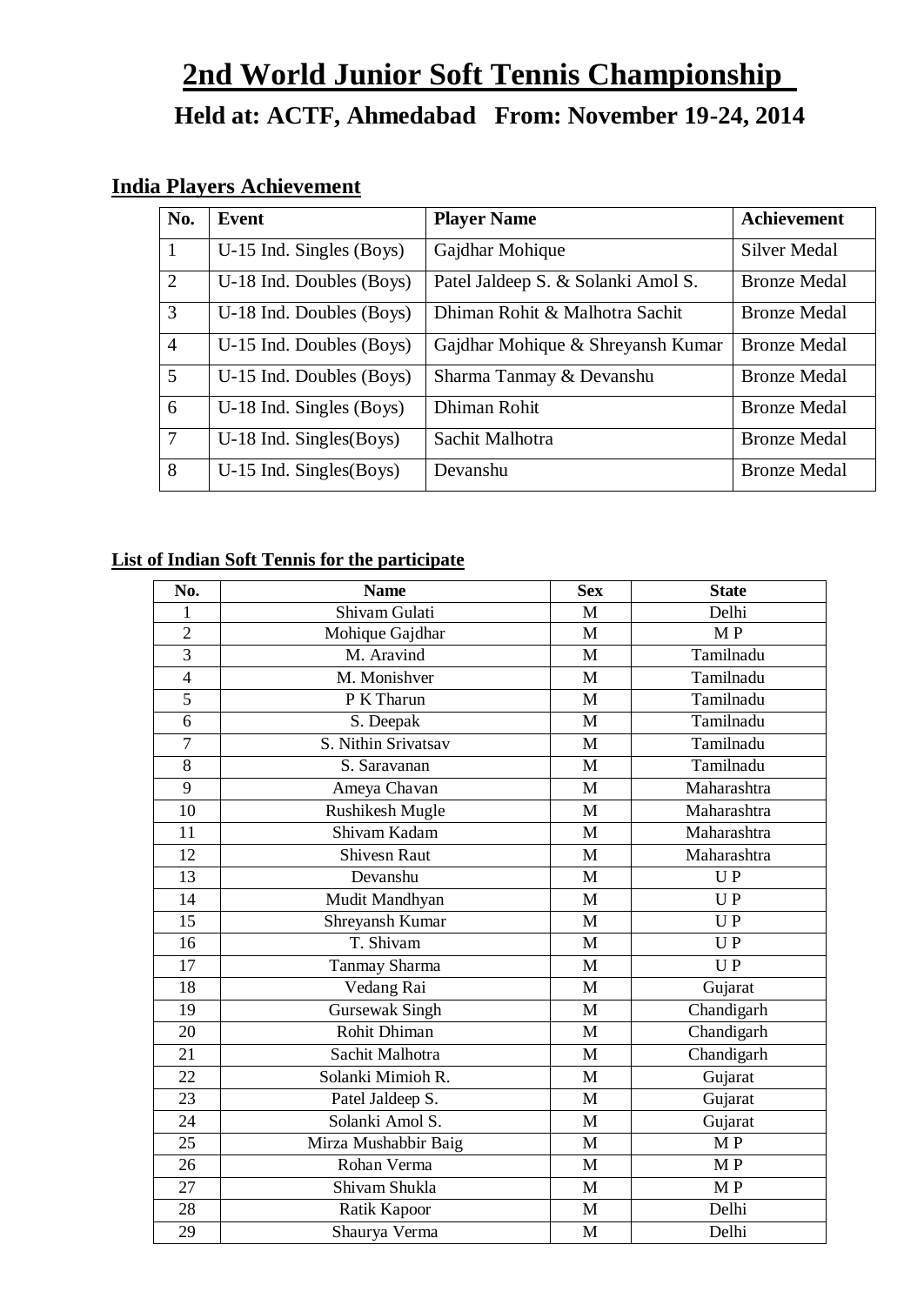## **2nd World Junior Soft Tennis Championship Held at: ACTF, Ahmedabad From: November 19-24, 2014**

## **India Players Achievement**

| No.            | Event                        | <b>Player Name</b>                 | <b>Achievement</b>  |
|----------------|------------------------------|------------------------------------|---------------------|
| $\mathbf{1}$   | U-15 Ind. Singles (Boys)     | Gajdhar Mohique                    | Silver Medal        |
| $\overline{2}$ | U-18 Ind. Doubles (Boys)     | Patel Jaldeep S. & Solanki Amol S. | <b>Bronze Medal</b> |
| 3              | U-18 Ind. Doubles (Boys)     | Dhiman Rohit & Malhotra Sachit     | <b>Bronze Medal</b> |
| $\overline{4}$ | U-15 Ind. Doubles (Boys)     | Gajdhar Mohique & Shreyansh Kumar  | <b>Bronze Medal</b> |
| 5              | U-15 Ind. Doubles (Boys)     | Sharma Tanmay & Devanshu           | <b>Bronze Medal</b> |
| 6              | $U-18$ Ind. Singles (Boys)   | Dhiman Rohit                       | <b>Bronze Medal</b> |
| $\overline{7}$ | $U-18$ Ind. Singles $(Boys)$ | Sachit Malhotra                    | <b>Bronze Medal</b> |
| 8              | $U-15$ Ind. Singles $(Boys)$ | Devanshu                           | <b>Bronze Medal</b> |

## **List of Indian Soft Tennis for the participate**

| No.            | <b>Name</b>          | <b>Sex</b> | <b>State</b> |
|----------------|----------------------|------------|--------------|
| 1              | Shivam Gulati        | M          | Delhi        |
| $\overline{2}$ | Mohique Gajdhar      | M          | M P          |
| $\overline{3}$ | M. Aravind           | M          | Tamilnadu    |
| $\overline{4}$ | M. Monishver         | M          | Tamilnadu    |
| $\overline{5}$ | P K Tharun           | M          | Tamilnadu    |
| $\overline{6}$ | S. Deepak            | M          | Tamilnadu    |
| $\overline{7}$ | S. Nithin Srivatsav  | M          | Tamilnadu    |
| $\overline{8}$ | S. Saravanan         | M          | Tamilnadu    |
| 9              | Ameya Chavan         | M          | Maharashtra  |
| 10             | Rushikesh Mugle      | M          | Maharashtra  |
| 11             | Shivam Kadam         | M          | Maharashtra  |
| 12             | <b>Shivesn Raut</b>  | M          | Maharashtra  |
| 13             | Devanshu             | M          | UP           |
| 14             | Mudit Mandhyan       | M          | UP           |
| 15             | Shreyansh Kumar      | M          | UP           |
| 16             | T. Shivam            | M          | UP           |
| 17             | Tanmay Sharma        | M          | UP           |
| 18             | Vedang Rai           | M          | Gujarat      |
| 19             | Gursewak Singh       | M          | Chandigarh   |
| 20             | Rohit Dhiman         | M          | Chandigarh   |
| 21             | Sachit Malhotra      | M          | Chandigarh   |
| 22             | Solanki Mimioh R.    | M          | Gujarat      |
| 23             | Patel Jaldeep S.     | M          | Gujarat      |
| 24             | Solanki Amol S.      | M          | Gujarat      |
| 25             | Mirza Mushabbir Baig | M          | M P          |
| 26             | Rohan Verma          | M          | MP           |
| 27             | Shivam Shukla        | M          | MP           |
| 28             | Ratik Kapoor         | M          | Delhi        |
| 29             | Shaurya Verma        | M          | Delhi        |